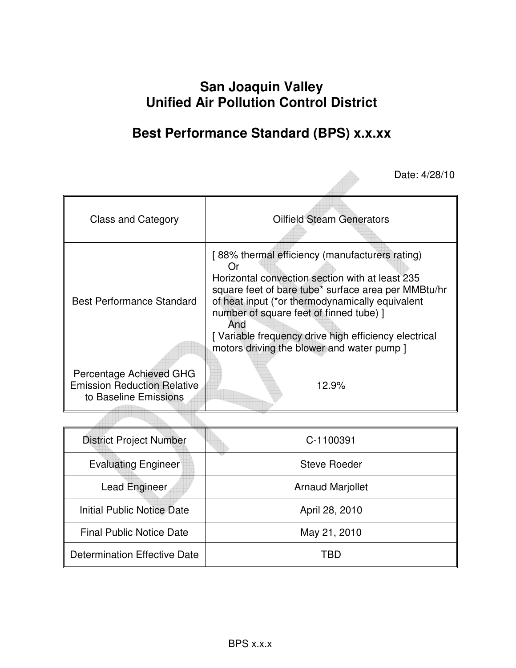# **San Joaquin Valley Unified Air Pollution Control District**

# **Best Performance Standard (BPS) x.x.xx**

Date: 4/28/10

| <b>Class and Category</b>                                                              | <b>Oilfield Steam Generators</b>                                                                                                                                                                                                                                                                                                                                            |
|----------------------------------------------------------------------------------------|-----------------------------------------------------------------------------------------------------------------------------------------------------------------------------------------------------------------------------------------------------------------------------------------------------------------------------------------------------------------------------|
| <b>Best Performance Standard</b>                                                       | [88% thermal efficiency (manufacturers rating)<br>( )r<br>Horizontal convection section with at least 235<br>square feet of bare tube* surface area per MMBtu/hr<br>of heat input (*or thermodynamically equivalent<br>number of square feet of finned tube) ]<br>And<br>[Variable frequency drive high efficiency electrical<br>motors driving the blower and water pump ] |
| Percentage Achieved GHG<br><b>Emission Reduction Relative</b><br>to Baseline Emissions | 12.9%                                                                                                                                                                                                                                                                                                                                                                       |

| <b>District Project Number</b>  | C-1100391               |
|---------------------------------|-------------------------|
| <b>Evaluating Engineer</b>      | <b>Steve Roeder</b>     |
| Lead Engineer                   | <b>Arnaud Marjollet</b> |
| Initial Public Notice Date      | April 28, 2010          |
| <b>Final Public Notice Date</b> | May 21, 2010            |
| Determination Effective Date    | TRD                     |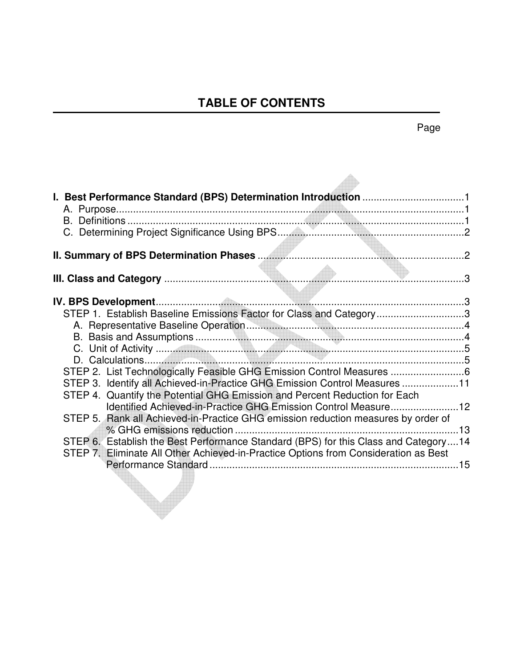# **TABLE OF CONTENTS**

| STEP 1. Establish Baseline Emissions Factor for Class and Category3                                                                                      |  |
|----------------------------------------------------------------------------------------------------------------------------------------------------------|--|
|                                                                                                                                                          |  |
|                                                                                                                                                          |  |
|                                                                                                                                                          |  |
| STEP 2. List Technologically Feasible GHG Emission Control Measures 6                                                                                    |  |
| STEP 3. Identify all Achieved-in-Practice GHG Emission Control Measures 11<br>STEP 4. Quantify the Potential GHG Emission and Percent Reduction for Each |  |
| Identified Achieved-in-Practice GHG Emission Control Measure12                                                                                           |  |
| STEP 5. Rank all Achieved-in-Practice GHG emission reduction measures by order of                                                                        |  |
| STEP 6. Establish the Best Performance Standard (BPS) for this Class and Category14                                                                      |  |
| STEP 7. Eliminate All Other Achieved-in-Practice Options from Consideration as Best                                                                      |  |
|                                                                                                                                                          |  |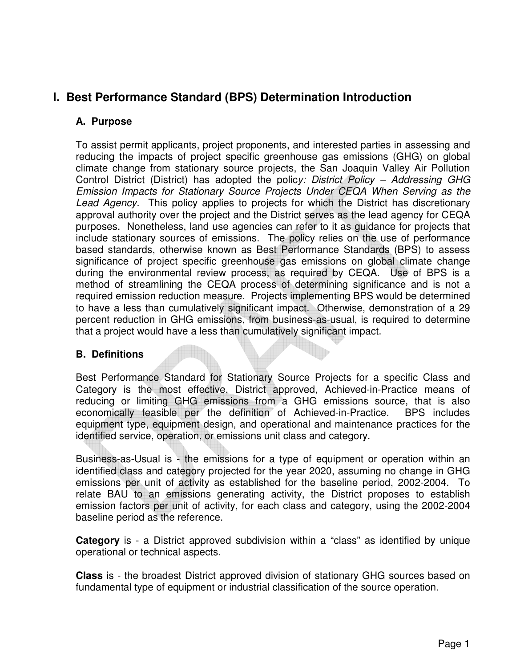# **I. Best Performance Standard (BPS) Determination Introduction**

## **A. Purpose**

To assist permit applicants, project proponents, and interested parties in assessing and reducing the impacts of project specific greenhouse gas emissions (GHG) on global climate change from stationary source projects, the San Joaquin Valley Air Pollution Control District (District) has adopted the policy: District Policy – Addressing GHG Emission Impacts for Stationary Source Projects Under CEQA When Serving as the Lead Agency. This policy applies to projects for which the District has discretionary approval authority over the project and the District serves as the lead agency for CEQA purposes. Nonetheless, land use agencies can refer to it as guidance for projects that include stationary sources of emissions. The policy relies on the use of performance based standards, otherwise known as Best Performance Standards (BPS) to assess significance of project specific greenhouse gas emissions on global climate change during the environmental review process, as required by CEQA. Use of BPS is a method of streamlining the CEQA process of determining significance and is not a required emission reduction measure. Projects implementing BPS would be determined to have a less than cumulatively significant impact. Otherwise, demonstration of a 29 percent reduction in GHG emissions, from business-as-usual, is required to determine that a project would have a less than cumulatively significant impact.

# **B. Definitions**

Best Performance Standard for Stationary Source Projects for a specific Class and Category is the most effective, District approved, Achieved-in-Practice means of reducing or limiting GHG emissions from a GHG emissions source, that is also economically feasible per the definition of Achieved-in-Practice. BPS includes equipment type, equipment design, and operational and maintenance practices for the identified service, operation, or emissions unit class and category.

Business-as-Usual is - the emissions for a type of equipment or operation within an identified class and category projected for the year 2020, assuming no change in GHG emissions per unit of activity as established for the baseline period, 2002-2004. To relate BAU to an emissions generating activity, the District proposes to establish emission factors per unit of activity, for each class and category, using the 2002-2004 baseline period as the reference.

**Category** is - a District approved subdivision within a "class" as identified by unique operational or technical aspects.

**Class** is - the broadest District approved division of stationary GHG sources based on fundamental type of equipment or industrial classification of the source operation.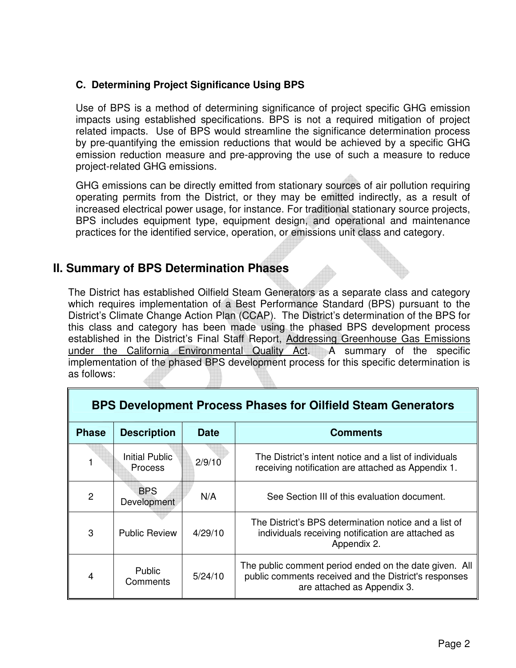# **C. Determining Project Significance Using BPS**

Use of BPS is a method of determining significance of project specific GHG emission impacts using established specifications. BPS is not a required mitigation of project related impacts. Use of BPS would streamline the significance determination process by pre-quantifying the emission reductions that would be achieved by a specific GHG emission reduction measure and pre-approving the use of such a measure to reduce project-related GHG emissions.

GHG emissions can be directly emitted from stationary sources of air pollution requiring operating permits from the District, or they may be emitted indirectly, as a result of increased electrical power usage, for instance. For traditional stationary source projects, BPS includes equipment type, equipment design, and operational and maintenance practices for the identified service, operation, or emissions unit class and category.

# **II. Summary of BPS Determination Phases**

The District has established Oilfield Steam Generators as a separate class and category which requires implementation of a Best Performance Standard (BPS) pursuant to the District's Climate Change Action Plan (CCAP). The District's determination of the BPS for this class and category has been made using the phased BPS development process established in the District's Final Staff Report, Addressing Greenhouse Gas Emissions under the California Environmental Quality Act. A summary of the specific implementation of the phased BPS development process for this specific determination is as follows:

| <b>BPS Development Process Phases for Oilfield Steam Generators</b> |                                   |         |                                                                                                                                                |  |
|---------------------------------------------------------------------|-----------------------------------|---------|------------------------------------------------------------------------------------------------------------------------------------------------|--|
| <b>Phase</b>                                                        | <b>Description</b><br><b>Date</b> |         | <b>Comments</b>                                                                                                                                |  |
|                                                                     | Initial Public<br><b>Process</b>  | 2/9/10  | The District's intent notice and a list of individuals<br>receiving notification are attached as Appendix 1.                                   |  |
| 2                                                                   | <b>BPS</b><br><b>Development</b>  | N/A     | See Section III of this evaluation document.                                                                                                   |  |
| 3                                                                   | <b>Public Review</b>              | 4/29/10 | The District's BPS determination notice and a list of<br>individuals receiving notification are attached as<br>Appendix 2.                     |  |
| 4                                                                   | <b>Public</b><br>Comments         | 5/24/10 | The public comment period ended on the date given. All<br>public comments received and the District's responses<br>are attached as Appendix 3. |  |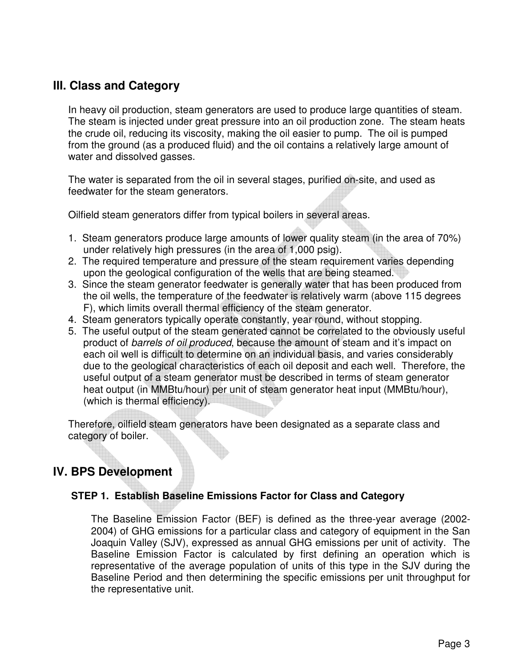# **III. Class and Category**

In heavy oil production, steam generators are used to produce large quantities of steam. The steam is injected under great pressure into an oil production zone. The steam heats the crude oil, reducing its viscosity, making the oil easier to pump. The oil is pumped from the ground (as a produced fluid) and the oil contains a relatively large amount of water and dissolved gasses.

The water is separated from the oil in several stages, purified on-site, and used as feedwater for the steam generators.

Oilfield steam generators differ from typical boilers in several areas.

- 1. Steam generators produce large amounts of lower quality steam (in the area of 70%) under relatively high pressures (in the area of 1,000 psig).
- 2. The required temperature and pressure of the steam requirement varies depending upon the geological configuration of the wells that are being steamed.
- 3. Since the steam generator feedwater is generally water that has been produced from the oil wells, the temperature of the feedwater is relatively warm (above 115 degrees F), which limits overall thermal efficiency of the steam generator.
- 4. Steam generators typically operate constantly, year round, without stopping.
- 5. The useful output of the steam generated cannot be correlated to the obviously useful product of barrels of oil produced, because the amount of steam and it's impact on each oil well is difficult to determine on an individual basis, and varies considerably due to the geological characteristics of each oil deposit and each well. Therefore, the useful output of a steam generator must be described in terms of steam generator heat output (in MMBtu/hour) per unit of steam generator heat input (MMBtu/hour), (which is thermal efficiency).

Therefore, oilfield steam generators have been designated as a separate class and category of boiler.

# **IV. BPS Development**

## **STEP 1. Establish Baseline Emissions Factor for Class and Category**

The Baseline Emission Factor (BEF) is defined as the three-year average (2002- 2004) of GHG emissions for a particular class and category of equipment in the San Joaquin Valley (SJV), expressed as annual GHG emissions per unit of activity. The Baseline Emission Factor is calculated by first defining an operation which is representative of the average population of units of this type in the SJV during the Baseline Period and then determining the specific emissions per unit throughput for the representative unit.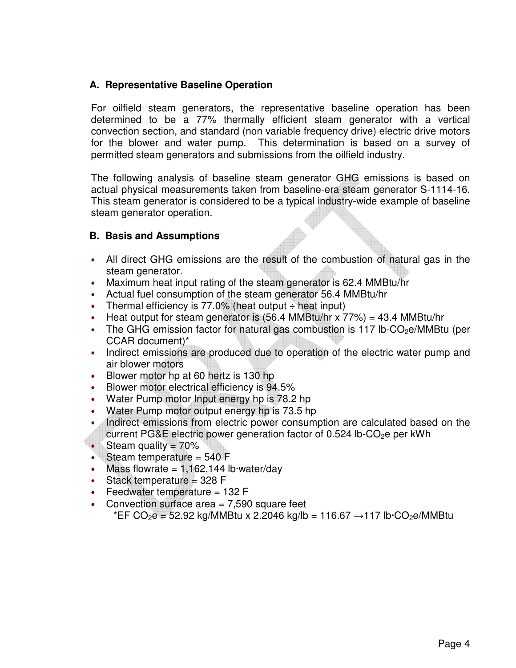## **A. Representative Baseline Operation**

For oilfield steam generators, the representative baseline operation has been determined to be a 77% thermally efficient steam generator with a vertical convection section, and standard (non variable frequency drive) electric drive motors for the blower and water pump. This determination is based on a survey of permitted steam generators and submissions from the oilfield industry.

The following analysis of baseline steam generator GHG emissions is based on actual physical measurements taken from baseline-era steam generator S-1114-16. This steam generator is considered to be a typical industry-wide example of baseline steam generator operation.

## **B. Basis and Assumptions**

- All direct GHG emissions are the result of the combustion of natural gas in the steam generator.
- Maximum heat input rating of the steam generator is 62.4 MMBtu/hr
- Actual fuel consumption of the steam generator 56.4 MMBtu/hr
- Thermal efficiency is  $77.0\%$  (heat output  $\div$  heat input)
- Heat output for steam generator is  $(56.4 \text{ MMBtu/hr} \times 77\%) = 43.4 \text{ MMBtu/hr}$
- The GHG emission factor for natural gas combustion is 117 lb-CO<sub>2</sub>e/MMBtu (per CCAR document)\*
- Indirect emissions are produced due to operation of the electric water pump and air blower motors
- Blower motor hp at 60 hertz is 130 hp
- Blower motor electrical efficiency is 94.5%
- Water Pump motor Input energy hp is 78.2 hp
- Water Pump motor output energy hp is 73.5 hp
- Indirect emissions from electric power consumption are calculated based on the current PG&E electric power generation factor of  $0.524$  lb-CO<sub>2</sub>e per kWh
- Steam quality = 70%
- Steam temperature = 540 F
- Mass flowrate  $= 1,162,144$  lb $\cdot$ water/day
- Stack temperature  $=$  328 F
- Feedwater temperature  $= 132$  F
- Convection surface area = 7,590 square feet

\*EF CO<sub>2</sub>e = 52.92 kg/MMBtu x 2.2046 kg/lb = 116.67  $\rightarrow$  117 lb·CO<sub>2</sub>e/MMBtu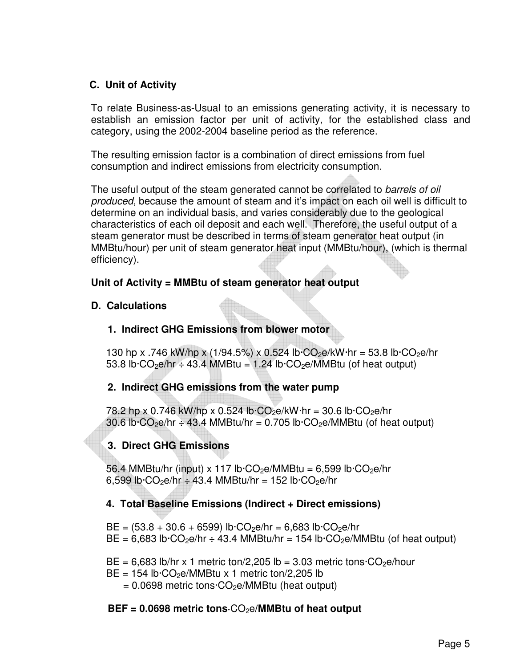# **C. Unit of Activity**

To relate Business-as-Usual to an emissions generating activity, it is necessary to establish an emission factor per unit of activity, for the established class and category, using the 2002-2004 baseline period as the reference.

The resulting emission factor is a combination of direct emissions from fuel consumption and indirect emissions from electricity consumption.

The useful output of the steam generated cannot be correlated to barrels of oil produced, because the amount of steam and it's impact on each oil well is difficult to determine on an individual basis, and varies considerably due to the geological characteristics of each oil deposit and each well. Therefore, the useful output of a steam generator must be described in terms of steam generator heat output (in MMBtu/hour) per unit of steam generator heat input (MMBtu/hour), (which is thermal efficiency).

## **Unit of Activity = MMBtu of steam generator heat output**

## **D. Calculations**

# **1. Indirect GHG Emissions from blower motor**

130 hp x .746 kW/hp x (1/94.5%) x 0.524 lb $\cdot$ CO<sub>2</sub>e/kW $\cdot$ hr = 53.8 lb $\cdot$ CO<sub>2</sub>e/hr 53.8 lb $\cdot$ CO<sub>2</sub>e/hr  $\div$  43.4 MMBtu = 1.24 lb $\cdot$ CO<sub>2</sub>e/MMBtu (of heat output)

# **2. Indirect GHG emissions from the water pump**

78.2 hp x 0.746 kW/hp x 0.524 lb $\cdot$ CO<sub>2</sub>e/kW $\cdot$ hr = 30.6 lb $\cdot$ CO<sub>2</sub>e/hr 30.6 lb $\cdot$ CO<sub>2</sub>e/hr  $\div$  43.4 MMBtu/hr = 0.705 lb $\cdot$ CO<sub>2</sub>e/MMBtu (of heat output)

# **3. Direct GHG Emissions**

56.4 MMBtu/hr (input) x 117 lb $\cdot$ CO<sub>2</sub>e/MMBtu = 6,599 lb $\cdot$ CO<sub>2</sub>e/hr 6,599 lb $\cdot$ CO<sub>2</sub>e/hr  $\div$  43.4 MMBtu/hr = 152 lb $\cdot$ CO<sub>2</sub>e/hr

## **4. Total Baseline Emissions (Indirect + Direct emissions)**

 $BE = (53.8 + 30.6 + 6599)$  lb $\cdot CO_2e/hr = 6,683$  lb $\cdot CO_2e/hr$  $BE = 6,683$  lb $\cdot CO_2$ e/hr  $\div$  43.4 MMBtu/hr = 154 lb $\cdot CO_2$ e/MMBtu (of heat output)

 $BE = 6,683$  lb/hr x 1 metric ton/2,205 lb = 3.03 metric tons $\cdot CO_2$ e/hour

 $BE = 154$  lb $\cdot CO_2$ e/MMBtu x 1 metric ton/2,205 lb

 $= 0.0698$  metric tons $\cdot CO_2e/MM$ Btu (heat output)

# **BEF = 0.0698 metric tons·CO<sub>2</sub>e/MMBtu of heat output**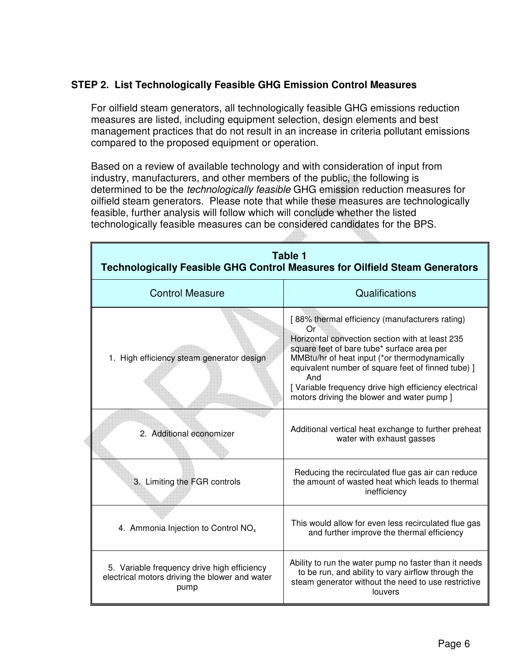## **STEP 2. List Technologically Feasible GHG Emission Control Measures**

For oilfield steam generators, all technologically feasible GHG emissions reduction measures are listed, including equipment selection, design elements and best management practices that do not result in an increase in criteria pollutant emissions compared to the proposed equipment or operation.

Based on a review of available technology and with consideration of input from industry, manufacturers, and other members of the public, the following is determined to be the technologically feasible GHG emission reduction measures for oilfield steam generators. Please note that while these measures are technologically feasible, further analysis will follow which will conclude whether the listed technologically feasible measures can be considered candidates for the BPS.

|                                                                                                       | Table 1<br><b>Technologically Feasible GHG Control Measures for Oilfield Steam Generators</b>                                                                                                                                                                                                                                                                             |  |  |  |  |
|-------------------------------------------------------------------------------------------------------|---------------------------------------------------------------------------------------------------------------------------------------------------------------------------------------------------------------------------------------------------------------------------------------------------------------------------------------------------------------------------|--|--|--|--|
| <b>Control Measure</b>                                                                                | Qualifications                                                                                                                                                                                                                                                                                                                                                            |  |  |  |  |
| 1. High efficiency steam generator design                                                             | [88% thermal efficiency (manufacturers rating)<br>Or<br>Horizontal convection section with at least 235<br>square feet of bare tube* surface area per<br>MMBtu/hr of heat input (*or thermodynamically<br>equivalent number of square feet of finned tube) ]<br>And<br>[Variable frequency drive high efficiency electrical<br>motors driving the blower and water pump ] |  |  |  |  |
| 2. Additional economizer                                                                              | Additional vertical heat exchange to further preheat<br>water with exhaust gasses                                                                                                                                                                                                                                                                                         |  |  |  |  |
| 3. Limiting the FGR controls                                                                          | Reducing the recirculated flue gas air can reduce<br>the amount of wasted heat which leads to thermal<br>inefficiency                                                                                                                                                                                                                                                     |  |  |  |  |
| 4. Ammonia Injection to Control $NOx$                                                                 | This would allow for even less recirculated flue gas<br>and further improve the thermal efficiency                                                                                                                                                                                                                                                                        |  |  |  |  |
| 5. Variable frequency drive high efficiency<br>electrical motors driving the blower and water<br>pump | Ability to run the water pump no faster than it needs<br>to be run, and ability to vary airflow through the<br>steam generator without the need to use restrictive<br>louvers                                                                                                                                                                                             |  |  |  |  |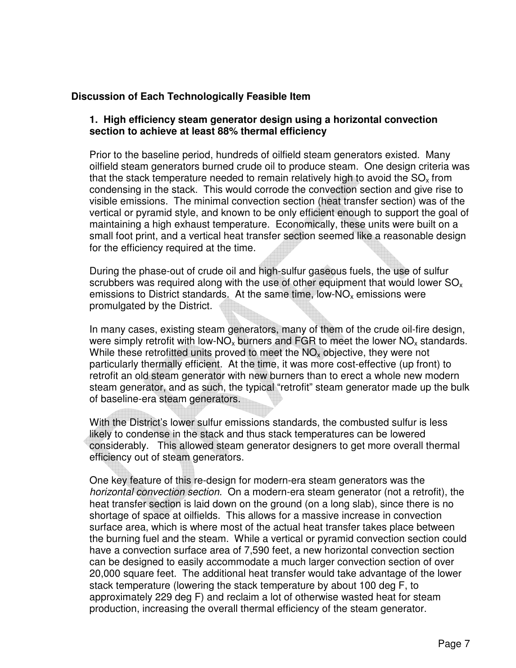## **Discussion of Each Technologically Feasible Item**

#### **1. High efficiency steam generator design using a horizontal convection section to achieve at least 88% thermal efficiency**

Prior to the baseline period, hundreds of oilfield steam generators existed. Many oilfield steam generators burned crude oil to produce steam. One design criteria was that the stack temperature needed to remain relatively high to avoid the  $SO_{x}$  from condensing in the stack. This would corrode the convection section and give rise to visible emissions. The minimal convection section (heat transfer section) was of the vertical or pyramid style, and known to be only efficient enough to support the goal of maintaining a high exhaust temperature. Economically, these units were built on a small foot print, and a vertical heat transfer section seemed like a reasonable design for the efficiency required at the time.

During the phase-out of crude oil and high-sulfur gaseous fuels, the use of sulfur scrubbers was required along with the use of other equipment that would lower  $SO_{x}$ emissions to District standards. At the same time, low-NO<sub>x</sub> emissions were promulgated by the District.

In many cases, existing steam generators, many of them of the crude oil-fire design, were simply retrofit with low-NO<sub>x</sub> burners and FGR to meet the lower NO<sub>x</sub> standards. While these retrofitted units proved to meet the  $NO<sub>x</sub>$  objective, they were not particularly thermally efficient. At the time, it was more cost-effective (up front) to retrofit an old steam generator with new burners than to erect a whole new modern steam generator, and as such, the typical "retrofit" steam generator made up the bulk of baseline-era steam generators.

With the District's lower sulfur emissions standards, the combusted sulfur is less likely to condense in the stack and thus stack temperatures can be lowered considerably. This allowed steam generator designers to get more overall thermal efficiency out of steam generators.

One key feature of this re-design for modern-era steam generators was the horizontal convection section. On a modern-era steam generator (not a retrofit), the heat transfer section is laid down on the ground (on a long slab), since there is no shortage of space at oilfields. This allows for a massive increase in convection surface area, which is where most of the actual heat transfer takes place between the burning fuel and the steam. While a vertical or pyramid convection section could have a convection surface area of 7,590 feet, a new horizontal convection section can be designed to easily accommodate a much larger convection section of over 20,000 square feet. The additional heat transfer would take advantage of the lower stack temperature (lowering the stack temperature by about 100 deg F, to approximately 229 deg F) and reclaim a lot of otherwise wasted heat for steam production, increasing the overall thermal efficiency of the steam generator.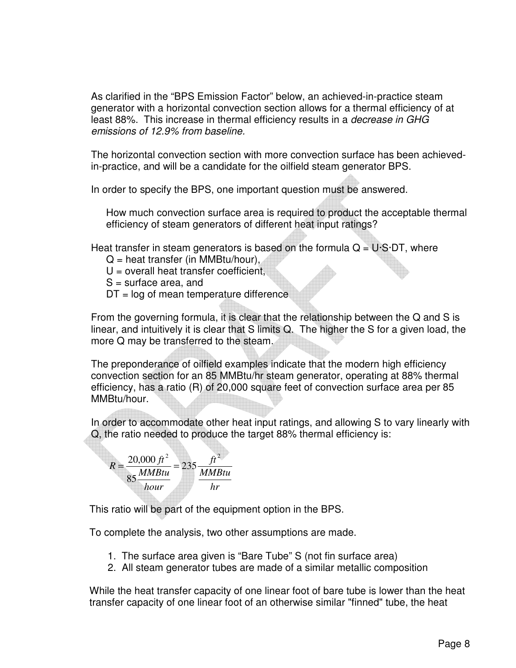As clarified in the "BPS Emission Factor" below, an achieved-in-practice steam generator with a horizontal convection section allows for a thermal efficiency of at least 88%. This increase in thermal efficiency results in a decrease in GHG emissions of 12.9% from baseline.

The horizontal convection section with more convection surface has been achievedin-practice, and will be a candidate for the oilfield steam generator BPS.

In order to specify the BPS, one important question must be answered.

How much convection surface area is required to product the acceptable thermal efficiency of steam generators of different heat input ratings?

Heat transfer in steam generators is based on the formula  $Q = U \cdot S \cdot DT$ , where

- $Q =$  heat transfer (in MMBtu/hour),
- $U =$  overall heat transfer coefficient.
- $S =$  surface area, and
- $DT = log of mean temperature difference$

From the governing formula, it is clear that the relationship between the Q and S is linear, and intuitively it is clear that S limits Q. The higher the S for a given load, the more Q may be transferred to the steam.

The preponderance of oilfield examples indicate that the modern high efficiency convection section for an 85 MMBtu/hr steam generator, operating at 88% thermal efficiency, has a ratio (R) of 20,000 square feet of convection surface area per 85 MMBtu/hour.

In order to accommodate other heat input ratings, and allowing S to vary linearly with Q, the ratio needed to produce the target 88% thermal efficiency is:



This ratio will be part of the equipment option in the BPS.

To complete the analysis, two other assumptions are made.

- 1. The surface area given is "Bare Tube" S (not fin surface area)
- 2. All steam generator tubes are made of a similar metallic composition

While the heat transfer capacity of one linear foot of bare tube is lower than the heat transfer capacity of one linear foot of an otherwise similar "finned" tube, the heat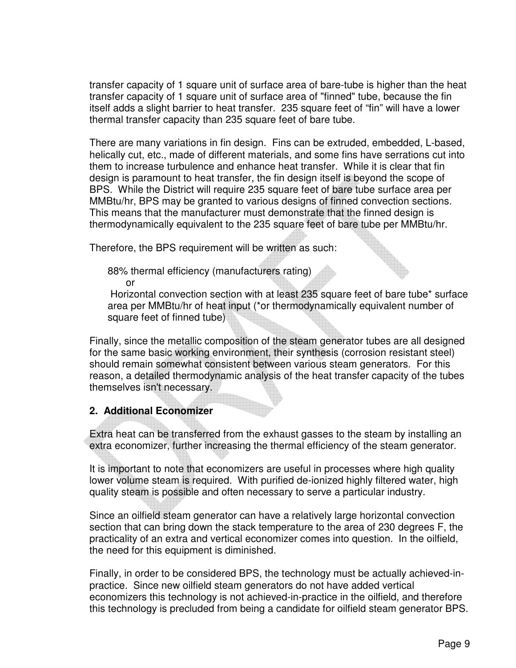transfer capacity of 1 square unit of surface area of bare-tube is higher than the heat transfer capacity of 1 square unit of surface area of "finned" tube, because the fin itself adds a slight barrier to heat transfer. 235 square feet of "fin" will have a lower thermal transfer capacity than 235 square feet of bare tube.

There are many variations in fin design. Fins can be extruded, embedded, L-based, helically cut, etc., made of different materials, and some fins have serrations cut into them to increase turbulence and enhance heat transfer. While it is clear that fin design is paramount to heat transfer, the fin design itself is beyond the scope of BPS. While the District will require 235 square feet of bare tube surface area per MMBtu/hr, BPS may be granted to various designs of finned convection sections. This means that the manufacturer must demonstrate that the finned design is thermodynamically equivalent to the 235 square feet of bare tube per MMBtu/hr.

Therefore, the BPS requirement will be written as such:

88% thermal efficiency (manufacturers rating)

or

 Horizontal convection section with at least 235 square feet of bare tube\* surface area per MMBtu/hr of heat input (\*or thermodynamically equivalent number of square feet of finned tube)

Finally, since the metallic composition of the steam generator tubes are all designed for the same basic working environment, their synthesis (corrosion resistant steel) should remain somewhat consistent between various steam generators. For this reason, a detailed thermodynamic analysis of the heat transfer capacity of the tubes themselves isn't necessary.

#### **2. Additional Economizer**

Extra heat can be transferred from the exhaust gasses to the steam by installing an extra economizer, further increasing the thermal efficiency of the steam generator.

It is important to note that economizers are useful in processes where high quality lower volume steam is required. With purified de-ionized highly filtered water, high quality steam is possible and often necessary to serve a particular industry.

Since an oilfield steam generator can have a relatively large horizontal convection section that can bring down the stack temperature to the area of 230 degrees F, the practicality of an extra and vertical economizer comes into question. In the oilfield, the need for this equipment is diminished.

Finally, in order to be considered BPS, the technology must be actually achieved-inpractice. Since new oilfield steam generators do not have added vertical economizers this technology is not achieved-in-practice in the oilfield, and therefore this technology is precluded from being a candidate for oilfield steam generator BPS.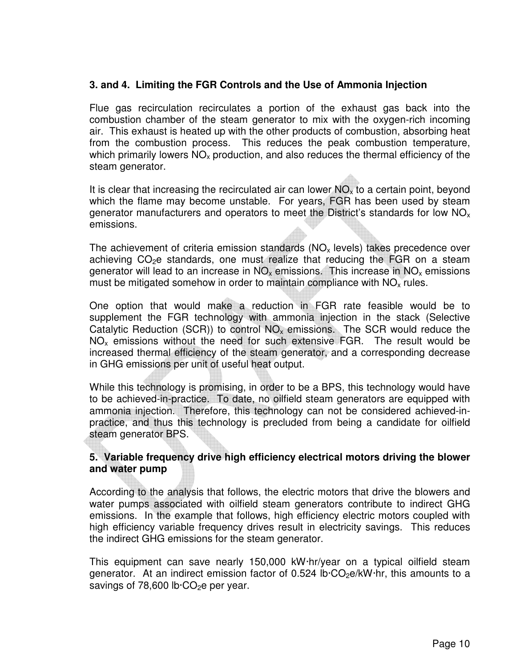#### **3. and 4. Limiting the FGR Controls and the Use of Ammonia Injection**

Flue gas recirculation recirculates a portion of the exhaust gas back into the combustion chamber of the steam generator to mix with the oxygen-rich incoming air. This exhaust is heated up with the other products of combustion, absorbing heat from the combustion process. This reduces the peak combustion temperature, which primarily lowers  $NO<sub>x</sub>$  production, and also reduces the thermal efficiency of the steam generator.

It is clear that increasing the recirculated air can lower  $NO<sub>x</sub>$  to a certain point, beyond which the flame may become unstable. For years, FGR has been used by steam generator manufacturers and operators to meet the District's standards for low  $NO<sub>x</sub>$ emissions.

The achievement of criteria emission standards ( $NO<sub>x</sub>$  levels) takes precedence over achieving  $CO<sub>2</sub>e$  standards, one must realize that reducing the FGR on a steam generator will lead to an increase in  $NO_x$  emissions. This increase in  $NO_x$  emissions must be mitigated somehow in order to maintain compliance with  $NO<sub>x</sub>$  rules.

One option that would make a reduction in FGR rate feasible would be to supplement the FGR technology with ammonia injection in the stack (Selective Catalytic Reduction (SCR)) to control  $NO<sub>x</sub>$  emissions. The SCR would reduce the  $NO<sub>x</sub>$  emissions without the need for such extensive FGR. The result would be increased thermal efficiency of the steam generator, and a corresponding decrease in GHG emissions per unit of useful heat output.

While this technology is promising, in order to be a BPS, this technology would have to be achieved-in-practice. To date, no oilfield steam generators are equipped with ammonia injection. Therefore, this technology can not be considered achieved-inpractice, and thus this technology is precluded from being a candidate for oilfield steam generator BPS.

#### **5. Variable frequency drive high efficiency electrical motors driving the blower and water pump**

According to the analysis that follows, the electric motors that drive the blowers and water pumps associated with oilfield steam generators contribute to indirect GHG emissions. In the example that follows, high efficiency electric motors coupled with high efficiency variable frequency drives result in electricity savings. This reduces the indirect GHG emissions for the steam generator.

This equipment can save nearly 150,000 kW·hr/year on a typical oilfield steam generator. At an indirect emission factor of 0.524 lb $\cdot$ CO<sub>2</sub>e/kW $\cdot$ hr, this amounts to a savings of 78,600 lb $\cdot$ CO<sub>2</sub>e per year.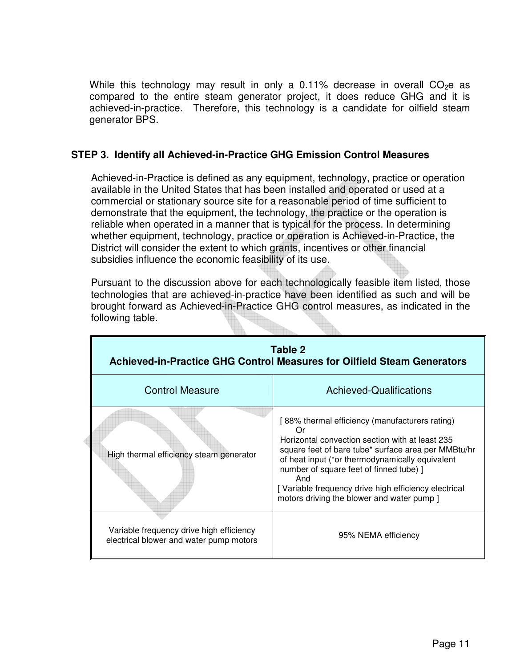While this technology may result in only a 0.11% decrease in overall  $CO<sub>2</sub>e$  as compared to the entire steam generator project, it does reduce GHG and it is achieved-in-practice. Therefore, this technology is a candidate for oilfield steam generator BPS.

#### **STEP 3. Identify all Achieved-in-Practice GHG Emission Control Measures**

Achieved-in-Practice is defined as any equipment, technology, practice or operation available in the United States that has been installed and operated or used at a commercial or stationary source site for a reasonable period of time sufficient to demonstrate that the equipment, the technology, the practice or the operation is reliable when operated in a manner that is typical for the process. In determining whether equipment, technology, practice or operation is Achieved-in-Practice, the District will consider the extent to which grants, incentives or other financial subsidies influence the economic feasibility of its use.

Pursuant to the discussion above for each technologically feasible item listed, those technologies that are achieved-in-practice have been identified as such and will be brought forward as Achieved-in-Practice GHG control measures, as indicated in the following table.

| Table 2<br>Achieved-in-Practice GHG Control Measures for Oilfield Steam Generators  |                                                                                                                                                                                                                                                                                                                                                                           |  |  |  |
|-------------------------------------------------------------------------------------|---------------------------------------------------------------------------------------------------------------------------------------------------------------------------------------------------------------------------------------------------------------------------------------------------------------------------------------------------------------------------|--|--|--|
| <b>Control Measure</b>                                                              | Achieved-Qualifications                                                                                                                                                                                                                                                                                                                                                   |  |  |  |
| High thermal efficiency steam generator                                             | [88% thermal efficiency (manufacturers rating)<br>0r<br>Horizontal convection section with at least 235<br>square feet of bare tube* surface area per MMBtu/hr<br>of heat input (*or thermodynamically equivalent<br>number of square feet of finned tube) ]<br>And<br>[Variable frequency drive high efficiency electrical<br>motors driving the blower and water pump ] |  |  |  |
| Variable frequency drive high efficiency<br>electrical blower and water pump motors | 95% NEMA efficiency                                                                                                                                                                                                                                                                                                                                                       |  |  |  |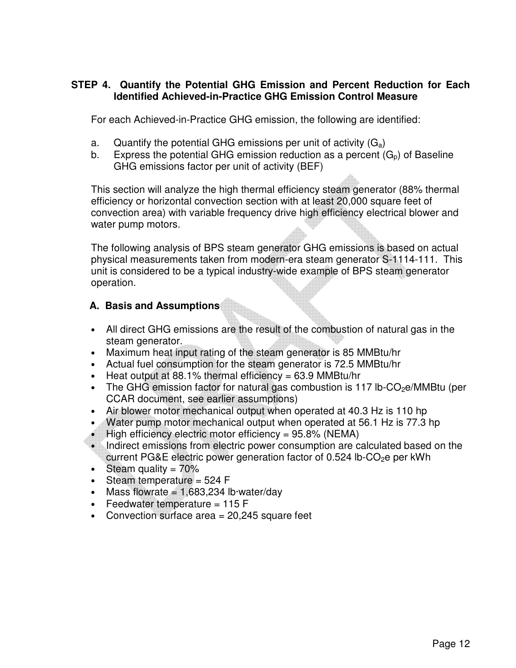#### **STEP 4. Quantify the Potential GHG Emission and Percent Reduction for Each Identified Achieved-in-Practice GHG Emission Control Measure**

For each Achieved-in-Practice GHG emission, the following are identified:

- a. Quantify the potential GHG emissions per unit of activity  $(G_a)$
- b. Express the potential GHG emission reduction as a percent  $(G_n)$  of Baseline GHG emissions factor per unit of activity (BEF)

This section will analyze the high thermal efficiency steam generator (88% thermal efficiency or horizontal convection section with at least 20,000 square feet of convection area) with variable frequency drive high efficiency electrical blower and water pump motors.

The following analysis of BPS steam generator GHG emissions is based on actual physical measurements taken from modern-era steam generator S-1114-111. This unit is considered to be a typical industry-wide example of BPS steam generator operation.

#### **A. Basis and Assumptions**

- All direct GHG emissions are the result of the combustion of natural gas in the steam generator.
- Maximum heat input rating of the steam generator is 85 MMBtu/hr
- Actual fuel consumption for the steam generator is 72.5 MMBtu/hr
- Heat output at 88.1% thermal efficiency =  $63.9$  MMBtu/hr
- The GHG emission factor for natural gas combustion is 117 lb-CO<sub>2</sub>e/MMBtu (per CCAR document, see earlier assumptions)
- Air blower motor mechanical output when operated at 40.3 Hz is 110 hp
- Water pump motor mechanical output when operated at 56.1 Hz is 77.3 hp
- High efficiency electric motor efficiency =  $95.8\%$  (NEMA)
- Indirect emissions from electric power consumption are calculated based on the current PG&E electric power generation factor of  $0.524$  lb-CO<sub>2</sub>e per kWh
- Steam quality  $= 70\%$
- Steam temperature  $= 524$  F
- Mass flowrate  $= 1.683,234$  lb water/day
- Feedwater temperature  $= 115$  F
- Convection surface area = 20,245 square feet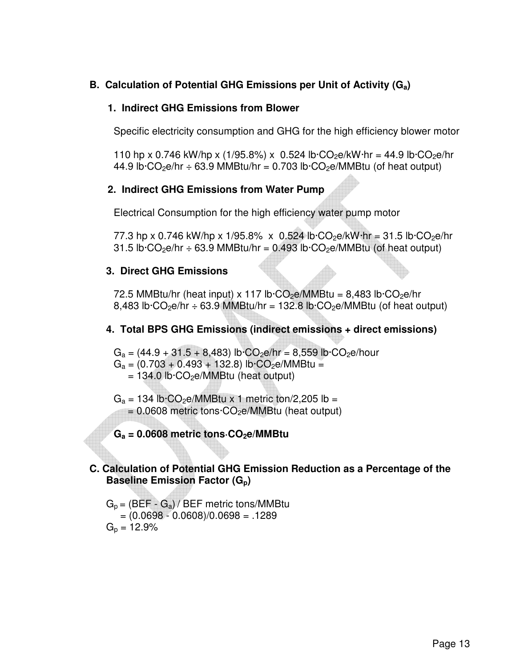## **B. Calculation of Potential GHG Emissions per Unit of Activity (Ga)**

#### **1. Indirect GHG Emissions from Blower**

Specific electricity consumption and GHG for the high efficiency blower motor

110 hp x 0.746 kW/hp x (1/95.8%) x 0.524 lb·CO<sub>2</sub>e/kW·hr = 44.9 lb·CO<sub>2</sub>e/hr 44.9 lb $\cdot$ CO<sub>2</sub>e/hr  $\div$  63.9 MMBtu/hr = 0.703 lb $\cdot$ CO<sub>2</sub>e/MMBtu (of heat output)

#### **2. Indirect GHG Emissions from Water Pump**

Electrical Consumption for the high efficiency water pump motor

77.3 hp x 0.746 kW/hp x 1/95.8% x 0.524 lb $\cdot$ CO<sub>2</sub>e/kW $\cdot$ hr = 31.5 lb $\cdot$ CO<sub>2</sub>e/hr 31.5 lb $\cdot$ CO<sub>2</sub>e/hr  $\div$  63.9 MMBtu/hr = 0.493 lb $\cdot$ CO<sub>2</sub>e/MMBtu (of heat output)

#### **3. Direct GHG Emissions**

72.5 MMBtu/hr (heat input) x 117 lb $\cdot$ CO<sub>2</sub>e/MMBtu = 8,483 lb $\cdot$ CO<sub>2</sub>e/hr 8,483 lb $\cdot$ CO<sub>2</sub>e/hr  $\div$  63.9 MMBtu/hr = 132.8 lb $\cdot$ CO<sub>2</sub>e/MMBtu (of heat output)

## **4. Total BPS GHG Emissions (indirect emissions + direct emissions)**

 $G_a = (44.9 + 31.5 + 8,483)$  lb $\cdot CO_2$ e/hr = 8,559 lb $\cdot CO_2$ e/hour  $G_a = (0.703 + 0.493 + 132.8)$  lb·CO<sub>2</sub>e/MMBtu =  $= 134.0$  lb $\cdot CO_2$ e/MMBtu (heat output)

- $G_a = 134$  lb $\cdot$ CO<sub>2</sub>e/MMBtu x 1 metric ton/2,205 lb =  $= 0.0608$  metric tons $\cdot CO_2e/MM$ Btu (heat output)
- **Ga = 0.0608 metric tons·CO2e/MMBtu**

#### **C. Calculation of Potential GHG Emission Reduction as a Percentage of the Baseline Emission Factor (Gp)**

 $G_p = (BEF - G_a) / BEF$  metric tons/MMBtu  $=(0.0698 - 0.0608)/0.0698 = .1289$  $G_p = 12.9\%$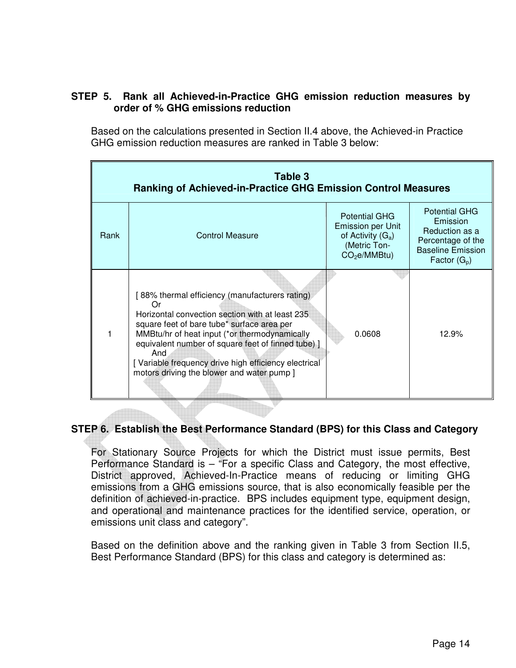#### **STEP 5. Rank all Achieved-in-Practice GHG emission reduction measures by order of % GHG emissions reduction**

Based on the calculations presented in Section II.4 above, the Achieved-in Practice GHG emission reduction measures are ranked in Table 3 below:

| Table 3<br>Ranking of Achieved-in-Practice GHG Emission Control Measures |                                                                                                                                                                                                                                                                                                                                                                           |                                                                                                                     |                                                                                                                       |  |  |
|--------------------------------------------------------------------------|---------------------------------------------------------------------------------------------------------------------------------------------------------------------------------------------------------------------------------------------------------------------------------------------------------------------------------------------------------------------------|---------------------------------------------------------------------------------------------------------------------|-----------------------------------------------------------------------------------------------------------------------|--|--|
| Rank                                                                     | <b>Control Measure</b>                                                                                                                                                                                                                                                                                                                                                    | <b>Potential GHG</b><br><b>Emission per Unit</b><br>of Activity $(G_a)$<br>(Metric Ton-<br>CO <sub>2</sub> e/MMBtu) | <b>Potential GHG</b><br>Emission<br>Reduction as a<br>Percentage of the<br><b>Baseline Emission</b><br>Factor $(G_p)$ |  |  |
|                                                                          | [88% thermal efficiency (manufacturers rating)<br>Ωr<br>Horizontal convection section with at least 235<br>square feet of bare tube* surface area per<br>MMBtu/hr of heat input (*or thermodynamically<br>equivalent number of square feet of finned tube) ]<br>And<br>[Variable frequency drive high efficiency electrical<br>motors driving the blower and water pump ] | 0.0608                                                                                                              | 12.9%                                                                                                                 |  |  |

## **STEP 6. Establish the Best Performance Standard (BPS) for this Class and Category**

For Stationary Source Projects for which the District must issue permits, Best Performance Standard is – "For a specific Class and Category, the most effective, District approved, Achieved-In-Practice means of reducing or limiting GHG emissions from a GHG emissions source, that is also economically feasible per the definition of achieved-in-practice. BPS includes equipment type, equipment design, and operational and maintenance practices for the identified service, operation, or emissions unit class and category".

Based on the definition above and the ranking given in Table 3 from Section II.5, Best Performance Standard (BPS) for this class and category is determined as: